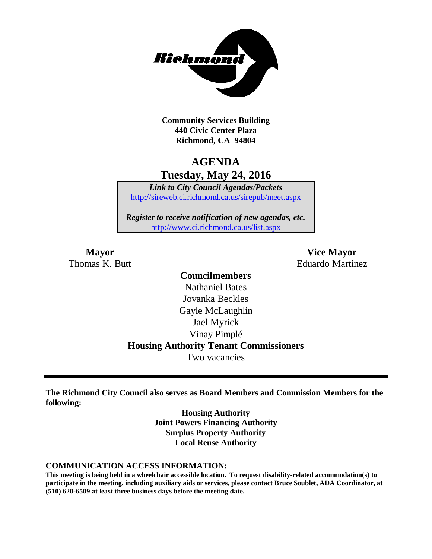

**Community Services Building 440 Civic Center Plaza Richmond, CA 94804**

# **AGENDA Tuesday, May 24, 2016**

*Link to City Council Agendas/Packets* <http://sireweb.ci.richmond.ca.us/sirepub/meet.aspx>

*Register to receive notification of new agendas, etc.* <http://www.ci.richmond.ca.us/list.aspx>

**Mayor Vice Mayor** Thomas K. Butt Eduardo Martinez

# **Councilmembers** Nathaniel Bates Jovanka Beckles Gayle McLaughlin Jael Myrick Vinay Pimplé **Housing Authority Tenant Commissioners**

Two vacancies

**The Richmond City Council also serves as Board Members and Commission Members for the following:**

> **Housing Authority Joint Powers Financing Authority Surplus Property Authority Local Reuse Authority**

#### **COMMUNICATION ACCESS INFORMATION:**

**This meeting is being held in a wheelchair accessible location. To request disability-related accommodation(s) to participate in the meeting, including auxiliary aids or services, please contact Bruce Soublet, ADA Coordinator, at (510) 620-6509 at least three business days before the meeting date.**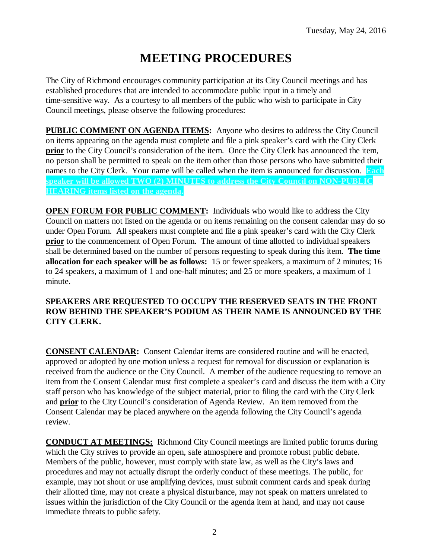# **MEETING PROCEDURES**

The City of Richmond encourages community participation at its City Council meetings and has established procedures that are intended to accommodate public input in a timely and time-sensitive way. As a courtesy to all members of the public who wish to participate in City Council meetings, please observe the following procedures:

**PUBLIC COMMENT ON AGENDA ITEMS:** Anyone who desires to address the City Council on items appearing on the agenda must complete and file a pink speaker's card with the City Clerk **prior** to the City Council's consideration of the item. Once the City Clerk has announced the item, no person shall be permitted to speak on the item other than those persons who have submitted their names to the City Clerk. Your name will be called when the item is announced for discussion. **Each speaker will be allowed TWO (2) MINUTES to address the City Council on NON-PUBLIC HEARING items listed on the agenda.**

**OPEN FORUM FOR PUBLIC COMMENT:** Individuals who would like to address the City Council on matters not listed on the agenda or on items remaining on the consent calendar may do so under Open Forum. All speakers must complete and file a pink speaker's card with the City Clerk **prior** to the commencement of Open Forum. The amount of time allotted to individual speakers shall be determined based on the number of persons requesting to speak during this item. **The time allocation for each speaker will be as follows:** 15 or fewer speakers, a maximum of 2 minutes; 16 to 24 speakers, a maximum of 1 and one-half minutes; and 25 or more speakers, a maximum of 1 minute.

### **SPEAKERS ARE REQUESTED TO OCCUPY THE RESERVED SEATS IN THE FRONT ROW BEHIND THE SPEAKER'S PODIUM AS THEIR NAME IS ANNOUNCED BY THE CITY CLERK.**

**CONSENT CALENDAR:** Consent Calendar items are considered routine and will be enacted, approved or adopted by one motion unless a request for removal for discussion or explanation is received from the audience or the City Council. A member of the audience requesting to remove an item from the Consent Calendar must first complete a speaker's card and discuss the item with a City staff person who has knowledge of the subject material, prior to filing the card with the City Clerk and **prior** to the City Council's consideration of Agenda Review. An item removed from the Consent Calendar may be placed anywhere on the agenda following the City Council's agenda review.

**CONDUCT AT MEETINGS:** Richmond City Council meetings are limited public forums during which the City strives to provide an open, safe atmosphere and promote robust public debate. Members of the public, however, must comply with state law, as well as the City's laws and procedures and may not actually disrupt the orderly conduct of these meetings. The public, for example, may not shout or use amplifying devices, must submit comment cards and speak during their allotted time, may not create a physical disturbance, may not speak on matters unrelated to issues within the jurisdiction of the City Council or the agenda item at hand, and may not cause immediate threats to public safety.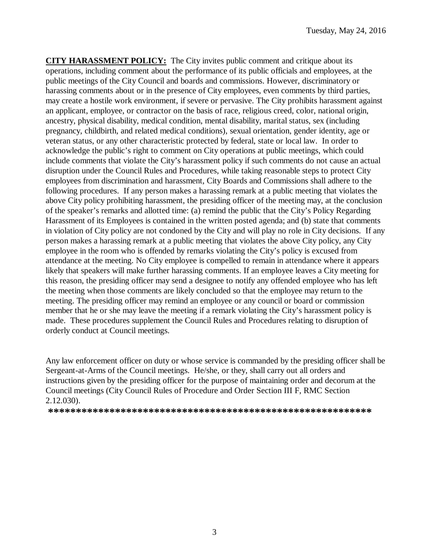**CITY HARASSMENT POLICY:** The City invites public comment and critique about its operations, including comment about the performance of its public officials and employees, at the public meetings of the City Council and boards and commissions. However, discriminatory or harassing comments about or in the presence of City employees, even comments by third parties, may create a hostile work environment, if severe or pervasive. The City prohibits harassment against an applicant, employee, or contractor on the basis of race, religious creed, color, national origin, ancestry, physical disability, medical condition, mental disability, marital status, sex (including pregnancy, childbirth, and related medical conditions), sexual orientation, gender identity, age or veteran status, or any other characteristic protected by federal, state or local law. In order to acknowledge the public's right to comment on City operations at public meetings, which could include comments that violate the City's harassment policy if such comments do not cause an actual disruption under the Council Rules and Procedures, while taking reasonable steps to protect City employees from discrimination and harassment, City Boards and Commissions shall adhere to the following procedures. If any person makes a harassing remark at a public meeting that violates the above City policy prohibiting harassment, the presiding officer of the meeting may, at the conclusion of the speaker's remarks and allotted time: (a) remind the public that the City's Policy Regarding Harassment of its Employees is contained in the written posted agenda; and (b) state that comments in violation of City policy are not condoned by the City and will play no role in City decisions. If any person makes a harassing remark at a public meeting that violates the above City policy, any City employee in the room who is offended by remarks violating the City's policy is excused from attendance at the meeting. No City employee is compelled to remain in attendance where it appears likely that speakers will make further harassing comments. If an employee leaves a City meeting for this reason, the presiding officer may send a designee to notify any offended employee who has left the meeting when those comments are likely concluded so that the employee may return to the meeting. The presiding officer may remind an employee or any council or board or commission member that he or she may leave the meeting if a remark violating the City's harassment policy is made. These procedures supplement the Council Rules and Procedures relating to disruption of orderly conduct at Council meetings.

Any law enforcement officer on duty or whose service is commanded by the presiding officer shall be Sergeant-at-Arms of the Council meetings. He/she, or they, shall carry out all orders and instructions given by the presiding officer for the purpose of maintaining order and decorum at the Council meetings (City Council Rules of Procedure and Order Section III F, RMC Section 2.12.030).

**\*\*\*\*\*\*\*\*\*\*\*\*\*\*\*\*\*\*\*\*\*\*\*\*\*\*\*\*\*\*\*\*\*\*\*\*\*\*\*\*\*\*\*\*\*\*\*\*\*\*\*\*\*\*\*\*\*\***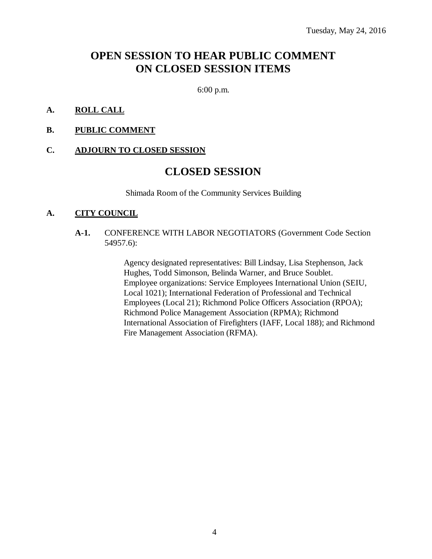# **OPEN SESSION TO HEAR PUBLIC COMMENT ON CLOSED SESSION ITEMS**

6:00 p.m.

### **A. ROLL CALL**

### **B. PUBLIC COMMENT**

#### **C. ADJOURN TO CLOSED SESSION**

# **CLOSED SESSION**

Shimada Room of the Community Services Building

#### **A. CITY COUNCIL**

**A-1.** CONFERENCE WITH LABOR NEGOTIATORS (Government Code Section 54957.6):

> Agency designated representatives: Bill Lindsay, Lisa Stephenson, Jack Hughes, Todd Simonson, Belinda Warner, and Bruce Soublet. Employee organizations: Service Employees International Union (SEIU, Local 1021); International Federation of Professional and Technical Employees (Local 21); Richmond Police Officers Association (RPOA); Richmond Police Management Association (RPMA); Richmond International Association of Firefighters (IAFF, Local 188); and Richmond Fire Management Association (RFMA).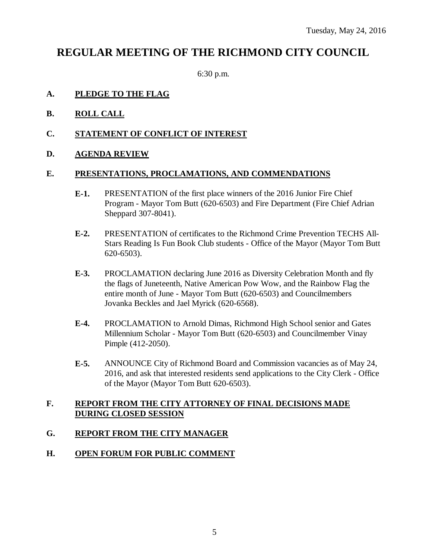# **REGULAR MEETING OF THE RICHMOND CITY COUNCIL**

6:30 p.m.

### **A. PLEDGE TO THE FLAG**

- **B. ROLL CALL**
- **C. STATEMENT OF CONFLICT OF INTEREST**
- **D. AGENDA REVIEW**

### **E. PRESENTATIONS, PROCLAMATIONS, AND COMMENDATIONS**

- **E-1.** PRESENTATION of the first place winners of the 2016 Junior Fire Chief Program - Mayor Tom Butt (620-6503) and Fire Department (Fire Chief Adrian Sheppard 307-8041).
- **E-2.** PRESENTATION of certificates to the Richmond Crime Prevention TECHS All-Stars Reading Is Fun Book Club students - Office of the Mayor (Mayor Tom Butt 620-6503).
- **E-3.** PROCLAMATION declaring June 2016 as Diversity Celebration Month and fly the flags of Juneteenth, Native American Pow Wow, and the Rainbow Flag the entire month of June - Mayor Tom Butt (620-6503) and Councilmembers Jovanka Beckles and Jael Myrick (620-6568).
- **E-4.** PROCLAMATION to Arnold Dimas, Richmond High School senior and Gates Millennium Scholar - Mayor Tom Butt (620-6503) and Councilmember Vinay Pimple (412-2050).
- **E-5.** ANNOUNCE City of Richmond Board and Commission vacancies as of May 24, 2016, and ask that interested residents send applications to the City Clerk - Office of the Mayor (Mayor Tom Butt 620-6503).

### **F. REPORT FROM THE CITY ATTORNEY OF FINAL DECISIONS MADE DURING CLOSED SESSION**

## **G. REPORT FROM THE CITY MANAGER**

### **H. OPEN FORUM FOR PUBLIC COMMENT**